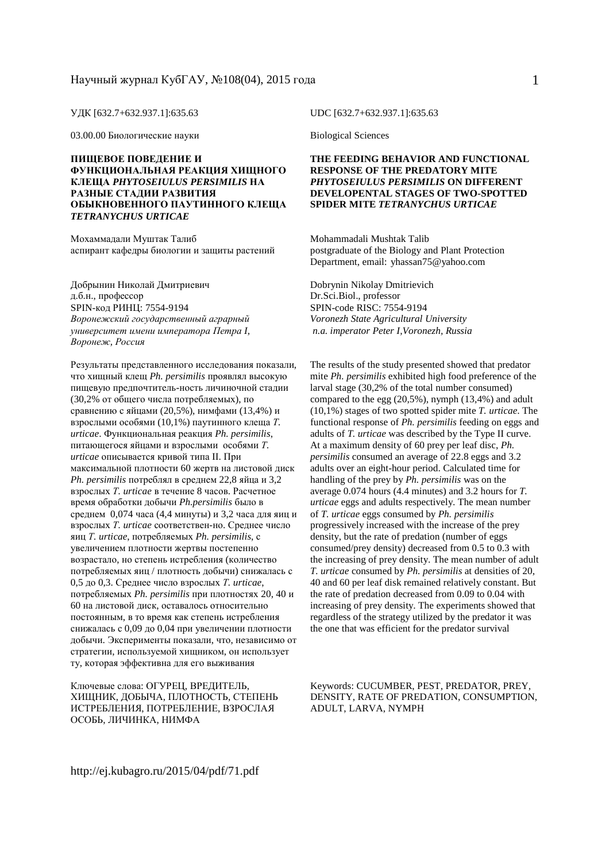УДК [632.7+632.937.1]:635.63

03.00.00 Биологические науки

#### **ПИЩЕВОЕ ПОВЕДЕНИЕ И ФУНКЦИОНАЛЬНАЯ РЕАКЦИЯ ХИЩНОГО КЛЕЩА** *PHYTOSEIULUS PERSIMILIS* **НА РАЗНЫЕ СТАДИИ РАЗВИТИЯ ОБЫКНОВЕННОГО ПАУТИННОГО КЛЕЩА** *TETRANYCHUS URTICAE*

Мохаммадали Муштак Талиб аспирант кафедры биологии и защиты растений

Добрынин Николай Дмитриевич д.б.н., профессор SPIN-код РИНЦ: 7554-9194 *Воронежский государственный аграрный университет имени императора Петра I, Воронеж, Россия*

Результаты представленного исследования показали, что хищный клещ *Ph. persimilis* проявлял высокую пищевую предпочтитель-ность личиночной стадии (30,2% от общего числа потребляемых), по сравнению с яйцами (20,5%), нимфами (13,4%) и взрослыми особями (10,1%) паутинного клеща *Т. urticae*. Функциональная реакция *Ph. persimilis*, питающегося яйцами и взрослыми особями *Т. urticae* описывается кривой типа II. При максимальной плотности 60 жертв на листовой диск *Ph. persimilis* потреблял в среднем 22,8 яйца и 3,2 взрослых *Т. urticae* в течение 8 часов. Расчетное время обработки добычи *Ph.persimilis* было в среднем 0,074 часа (4,4 минуты) и 3,2 часа для яиц и взрослых *Т. urticae* соответствен-но. Среднее число яиц *Т. urticae*, потребляемых *Ph. persimilis*, с увеличением плотности жертвы постепенно возрастало, но степень истребления (количество потребляемых яиц / плотность добычи) снижалась с 0,5 до 0,3. Среднее число взрослых *Т. urticae*, потребляемых *Ph. persimilis* при плотностях 20, 40 и 60 на листовой диск, оставалось относительно постоянным, в то время как степень истребления снижалась с 0,09 до 0,04 при увеличении плотности добычи. Эксперименты показали, что, независимо от стратегии, используемой хищником, он использует ту, которая эффективна для его выживания

Ключевые слова: ОГУРЕЦ, ВРЕДИТЕЛЬ, ХИЩНИК, ДОБЫЧА, ПЛОТНОСТЬ, СТЕПЕНЬ ИСТРЕБЛЕНИЯ, ПОТРЕБЛЕНИЕ, ВЗРОСЛАЯ ОСОБЬ, ЛИЧИНКА, НИМФА

UDC [632.7+632.937.1]:635.63

Biological Sciences

#### **THE FEEDING BEHAVIOR AND FUNCTIONAL RESPONSE OF THE PREDATORY MITE**  *PHYTOSEIULUS PERSIMILIS* **ON DIFFERENT DEVELOPENTAL STAGES OF TWO-SPOTTED SPIDER MITE** *TETRANYCHUS URTICAE*

Mohammadali Mushtak Talib postgraduate of the Biology and Plant Protection Department, email: yhassan75@yahoo.com

Dobrynin Nikolay Dmitrievich Dr.Sci.Biol., professor SPIN-code RISC: 7554-9194 *Voronezh State Agricultural University n.a. imperator Peter I,Voronezh, Russia* 

The results of the study presented showed that predator mite *Ph. persimilis* exhibited high food preference of the larval stage (30,2% of the total number consumed) compared to the egg (20,5%), nymph (13,4%) and adult (10,1%) stages of two spotted spider mite *T. urticae*. The functional response of *Ph. persimilis* feeding on eggs and adults of *T. urticae* was described by the Type II curve. At a maximum density of 60 prey per leaf disc, *Ph. persimilis* consumed an average of 22.8 eggs and 3.2 adults over an eight-hour period. Calculated time for handling of the prey by *Ph. persimilis* was on the average 0.074 hours (4.4 minutes) and 3.2 hours for *T. urticae* eggs and adults respectively. The mean number of *T. urticae* eggs consumed by *Ph. persimilis*  progressively increased with the increase of the prey density, but the rate of predation (number of eggs consumed/prey density) decreased from 0.5 to 0.3 with the increasing of prey density. The mean number of adult *T. urticae* consumed by *Ph. persimilis* at densities of 20, 40 and 60 per leaf disk remained relatively constant. But the rate of predation decreased from 0.09 to 0.04 with increasing of prey density. The experiments showed that regardless of the strategy utilized by the predator it was the one that was efficient for the predator survival

Keywords: CUCUMBER, PEST, PREDATOR, PREY, DENSITY, RATE OF PREDATION, CONSUMPTION, ADULT, LARVA, NYMPH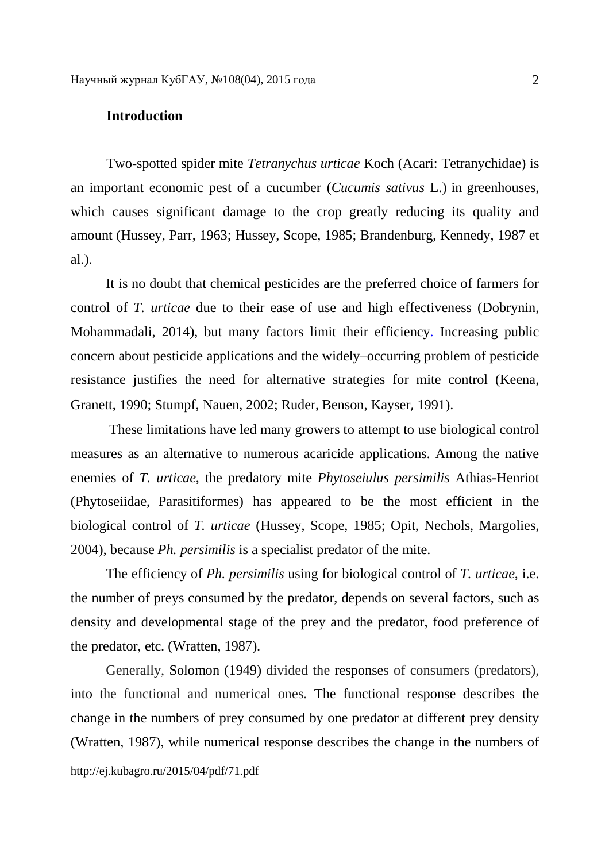#### **Introduction**

Two-spotted spider mite *Tetranychus urticae* Koch (Acari: Tetranychidae) is an important economic pest of a cucumber (*Cucumis sativus* L.) in greenhouses, which causes significant damage to the crop greatly reducing its quality and amount (Hussey, Parr, 1963; Hussey, Scope, 1985; Brandenburg, Kennedy, 1987 et al.).

It is no doubt that chemical pesticides are the preferred choice of farmers for control of *T. urticae* due to their ease of use and high effectiveness (Dobrynin, Mohammadali, 2014), but many factors limit their efficiency. Increasing public concern about pesticide applications and the widely–occurring problem of pesticide resistance justifies the need for alternative strategies for mite control (Keena, Granett, 1990; Stumpf, Nauen, 2002; Ruder, Benson, Kayser, 1991).

 These limitations have led many growers to attempt to use biological control measures as an alternative to numerous acaricide applications. Among the native enemies of *T. urticae*, the predatory mite *Phytoseiulus persimilis* Athias-Henriot (Phytoseiidae, Parasitiformes) has appeared to be the most efficient in the biological control of *T. urticae* (Hussey, Scope, 1985; Opit, Nechols, Margolies, 2004), because *Ph. persimilis* is a specialist predator of the mite.

The efficiency of *Ph. persimilis* using for biological control of *T. urticae*, i.e. the number of preys consumed by the predator, depends on several factors, such as density and developmental stage of the prey and the predator, food preference of the predator, etc. (Wratten, 1987).

http://ej.kubagro.ru/2015/04/pdf/71.pdf Generally, Solomon (1949) divided the responses of consumers (predators), into the functional and numerical ones. The functional response describes the change in the numbers of prey consumed by one predator at different prey density (Wratten, 1987), while numerical response describes the change in the numbers of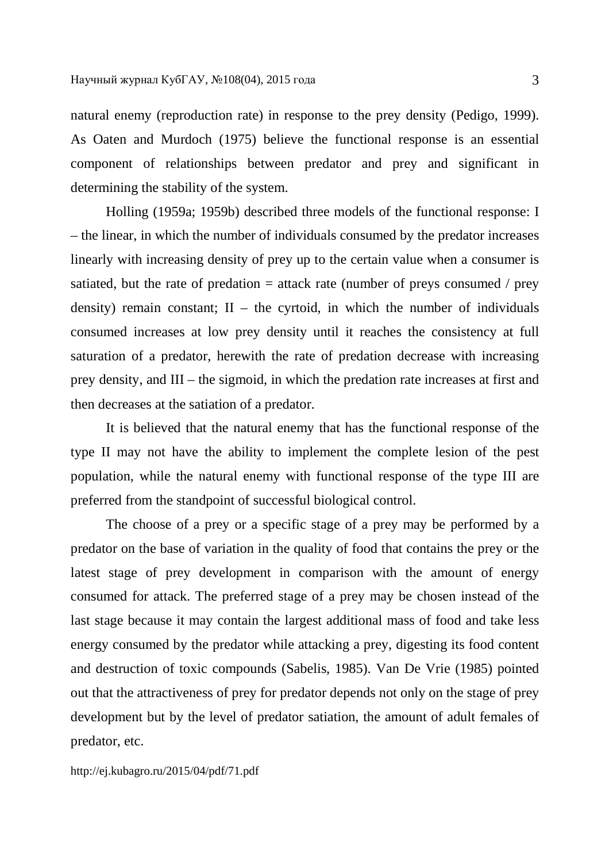natural enemy (reproduction rate) in response to the prey density (Pedigo, 1999). As Oaten and Murdoch (1975) believe the functional response is an essential component of relationships between predator and prey and significant in determining the stability of the system.

Holling (1959a; 1959b) described three models of the functional response: I – the linear, in which the number of individuals consumed by the predator increases linearly with increasing density of prey up to the certain value when a consumer is satiated, but the rate of predation  $=$  attack rate (number of preys consumed / prey density) remain constant;  $II$  – the cyrtoid, in which the number of individuals consumed increases at low prey density until it reaches the consistency at full saturation of a predator, herewith the rate of predation decrease with increasing prey density, and III – the sigmoid, in which the predation rate increases at first and then decreases at the satiation of a predator.

It is believed that the natural enemy that has the functional response of the type II may not have the ability to implement the complete lesion of the pest population, while the natural enemy with functional response of the type III are preferred from the standpoint of successful biological control.

The choose of a prey or a specific stage of a prey may be performed by a predator on the base of variation in the quality of food that contains the prey or the latest stage of prey development in comparison with the amount of energy consumed for attack. The preferred stage of a prey may be chosen instead of the last stage because it may contain the largest additional mass of food and take less energy consumed by the predator while attacking a prey, digesting its food content and destruction of toxic compounds (Sabelis, 1985). Van De Vrie (1985) pointed out that the attractiveness of prey for predator depends not only on the stage of prey development but by the level of predator satiation, the amount of adult females of predator, etc.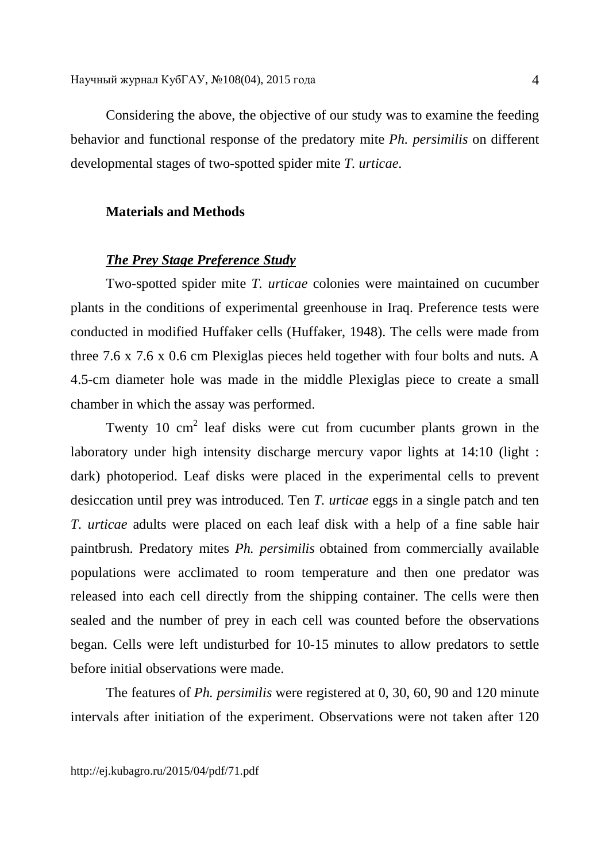Considering the above, the objective of our study was to examine the feeding behavior and functional response of the predatory mite *Ph. persimilis* on different developmental stages of two-spotted spider mite *T. urticae*.

## **Materials and Methods**

## *The Prey Stage Preference Study*

Two-spotted spider mite *T. urticae* colonies were maintained on cucumber plants in the conditions of experimental greenhouse in Iraq. Preference tests were conducted in modified Huffaker cells (Huffaker, 1948). The cells were made from three 7.6 x 7.6 x 0.6 cm Plexiglas pieces held together with four bolts and nuts. A 4.5-cm diameter hole was made in the middle Plexiglas piece to create a small chamber in which the assay was performed.

Twenty 10  $\text{cm}^2$  leaf disks were cut from cucumber plants grown in the laboratory under high intensity discharge mercury vapor lights at 14:10 (light : dark) photoperiod. Leaf disks were placed in the experimental cells to prevent desiccation until prey was introduced. Ten *T. urticae* eggs in a single patch and ten *T. urticae* adults were placed on each leaf disk with a help of a fine sable hair paintbrush. Predatory mites *Ph. persimilis* obtained from commercially available populations were acclimated to room temperature and then one predator was released into each cell directly from the shipping container. The cells were then sealed and the number of prey in each cell was counted before the observations began. Cells were left undisturbed for 10-15 minutes to allow predators to settle before initial observations were made.

The features of *Ph. persimilis* were registered at 0, 30, 60, 90 and 120 minute intervals after initiation of the experiment. Observations were not taken after 120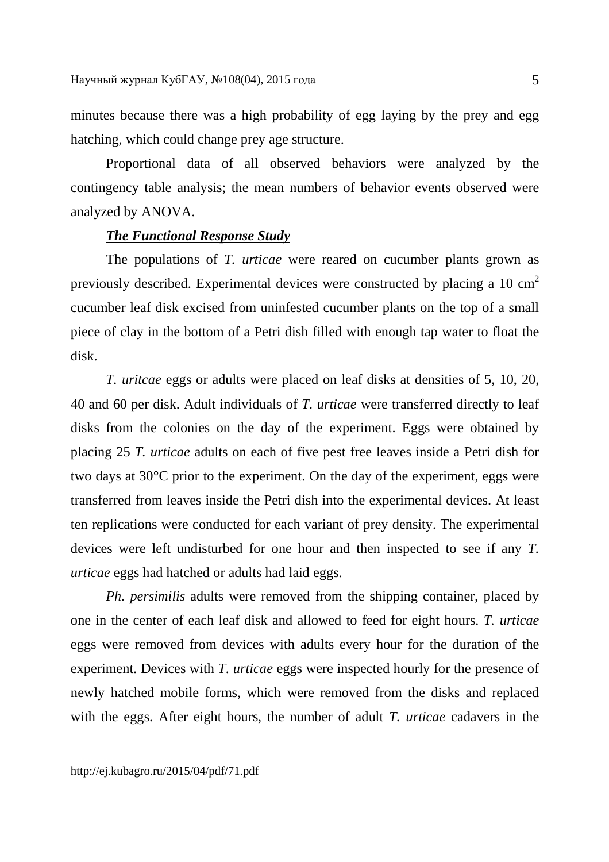minutes because there was a high probability of egg laying by the prey and egg hatching, which could change prey age structure.

Proportional data of all observed behaviors were analyzed by the contingency table analysis; the mean numbers of behavior events observed were analyzed by ANOVA.

### *The Functional Response Study*

The populations of *T. urticae* were reared on cucumber plants grown as previously described. Experimental devices were constructed by placing a 10 cm<sup>2</sup> cucumber leaf disk excised from uninfested cucumber plants on the top of a small piece of clay in the bottom of a Petri dish filled with enough tap water to float the disk.

*T. uritcae* eggs or adults were placed on leaf disks at densities of 5, 10, 20, 40 and 60 per disk. Adult individuals of *T. urticae* were transferred directly to leaf disks from the colonies on the day of the experiment. Eggs were obtained by placing 25 *T. urticae* adults on each of five pest free leaves inside a Petri dish for two days at 30°C prior to the experiment. On the day of the experiment, eggs were transferred from leaves inside the Petri dish into the experimental devices. At least ten replications were conducted for each variant of prey density. The experimental devices were left undisturbed for one hour and then inspected to see if any *T. urticae* eggs had hatched or adults had laid eggs.

*Ph. persimilis* adults were removed from the shipping container, placed by one in the center of each leaf disk and allowed to feed for eight hours. *T. urticae*  eggs were removed from devices with adults every hour for the duration of the experiment. Devices with *T. urticae* eggs were inspected hourly for the presence of newly hatched mobile forms, which were removed from the disks and replaced with the eggs. After eight hours, the number of adult *T. urticae* cadavers in the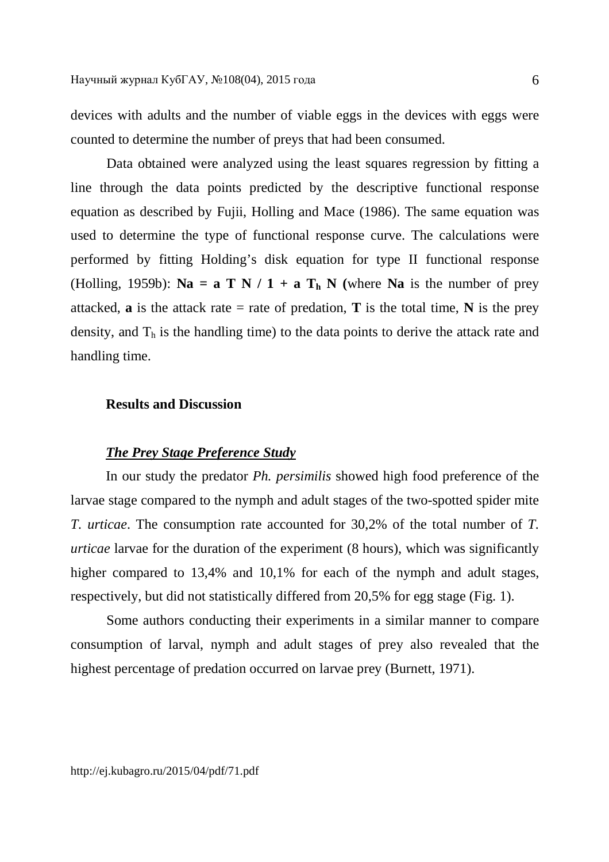devices with adults and the number of viable eggs in the devices with eggs were counted to determine the number of preys that had been consumed.

Data obtained were analyzed using the least squares regression by fitting a line through the data points predicted by the descriptive functional response equation as described by Fujii, Holling and Mace (1986). The same equation was used to determine the type of functional response curve. The calculations were performed by fitting Holding's disk equation for type II functional response (Holling, 1959b):  $\mathbf{Na} = \mathbf{a} \mathbf{T} \mathbf{N} / 1 + \mathbf{a} \mathbf{T} \mathbf{h} \mathbf{N}$  (where  $\mathbf{Na}$  is the number of prey attacked, **a** is the attack rate = rate of predation, **T** is the total time, **N** is the prey density, and  $T<sub>h</sub>$  is the handling time) to the data points to derive the attack rate and handling time.

## **Results and Discussion**

#### *The Prey Stage Preference Study*

In our study the predator *Ph. persimilis* showed high food preference of the larvae stage compared to the nymph and adult stages of the two-spotted spider mite *T. urticae*. The consumption rate accounted for 30,2% of the total number of *T. urticae* larvae for the duration of the experiment (8 hours), which was significantly higher compared to 13,4% and 10,1% for each of the nymph and adult stages, respectively, but did not statistically differed from 20,5% for egg stage (Fig. 1).

Some authors conducting their experiments in a similar manner to compare consumption of larval, nymph and adult stages of prey also revealed that the highest percentage of predation occurred on larvae prey (Burnett, 1971).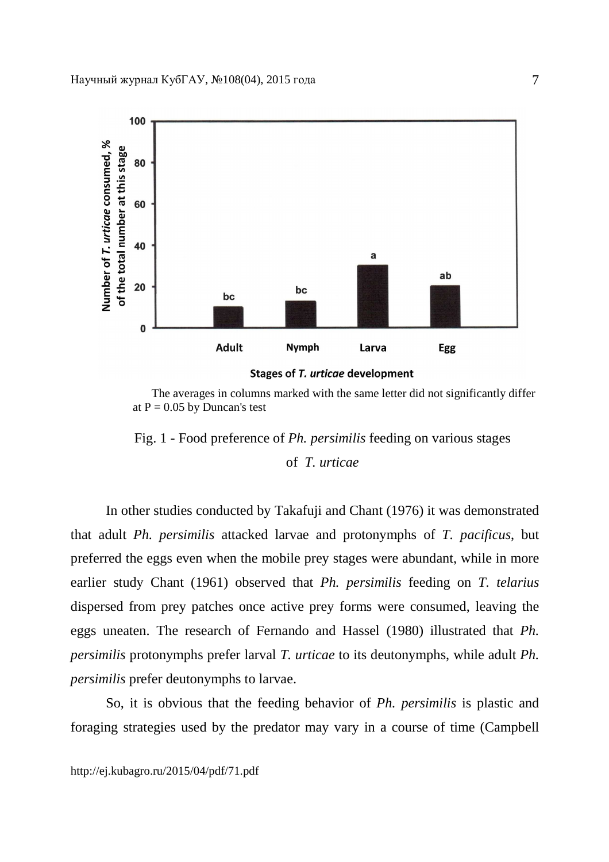

 The averages in columns marked with the same letter did not significantly differ at  $P = 0.05$  by Duncan's test

Fig. 1 - Food preference of *Ph. persimilis* feeding on various stages of *T. urticae*

In other studies conducted by Takafuji and Chant (1976) it was demonstrated that adult *Ph. persimilis* attacked larvae and protonymphs of *T. pacificus*, but preferred the eggs even when the mobile prey stages were abundant, while in more earlier study Chant (1961) observed that *Ph. persimilis* feeding on *T. telarius*  dispersed from prey patches once active prey forms were consumed, leaving the eggs uneaten. The research of Fernando and Hassel (1980) illustrated that *Ph. persimilis* protonymphs prefer larval *T. urticae* to its deutonymphs, while adult *Ph. persimilis* prefer deutonymphs to larvae.

So, it is obvious that the feeding behavior of *Ph. persimilis* is plastic and foraging strategies used by the predator may vary in a course of time (Campbell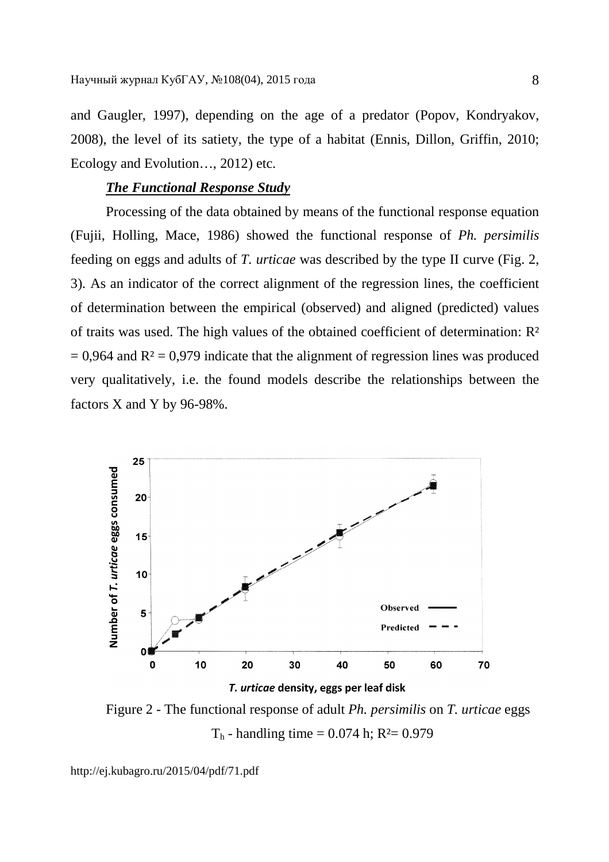and Gaugler, 1997), depending on the age of a predator (Popov, Kondryakov, 2008), the level of its satiety, the type of a habitat (Ennis, Dillon, Griffin, 2010; Ecology and Evolution…, 2012) etc.

# *The Functional Response Study*

Processing of the data obtained by means of the functional response equation (Fujii, Holling, Mace, 1986) showed the functional response of *Ph. persimilis* feeding on eggs and adults of *T. urticae* was described by the type II curve (Fig. 2, 3). As an indicator of the correct alignment of the regression lines, the coefficient of determination between the empirical (observed) and aligned (predicted) values of traits was used. The high values of the obtained coefficient of determination: R²  $= 0.964$  and  $R<sup>2</sup> = 0.979$  indicate that the alignment of regression lines was produced very qualitatively, i.e. the found models describe the relationships between the factors X and Y by 96-98%.



Figure 2 - The functional response of adult *Ph. persimilis* on *T. urticae* eggs  $T<sub>h</sub>$  - handling time = 0.074 h; R<sup>2</sup> = 0.979

http://ej.kubagro.ru/2015/04/pdf/71.pdf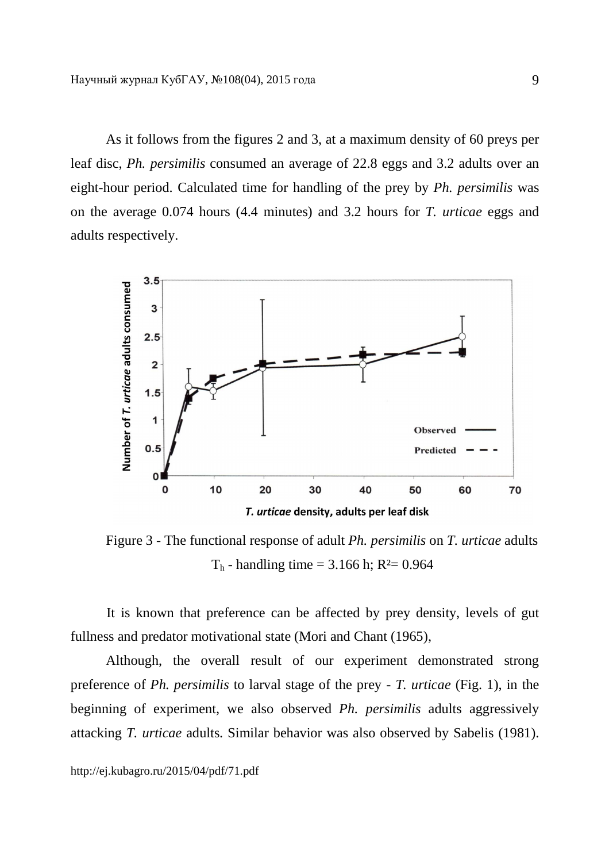As it follows from the figures 2 and 3, at a maximum density of 60 preys per leaf disc, *Ph. persimilis* consumed an average of 22.8 eggs and 3.2 adults over an eight-hour period. Calculated time for handling of the prey by *Ph. persimilis* was on the average 0.074 hours (4.4 minutes) and 3.2 hours for *T. urticae* eggs and adults respectively.



Figure 3 - The functional response of adult *Ph. persimilis* on *T. urticae* adults  $T<sub>h</sub>$  - handling time = 3.166 h; R<sup>2</sup>= 0.964

It is known that preference can be affected by prey density, levels of gut fullness and predator motivational state (Mori and Chant (1965),

Although, the overall result of our experiment demonstrated strong preference of *Ph. persimilis* to larval stage of the prey - *T. urticae* (Fig. 1), in the beginning of experiment, we also observed *Ph. persimilis* adults aggressively attacking *T. urticae* adults. Similar behavior was also observed by Sabelis (1981).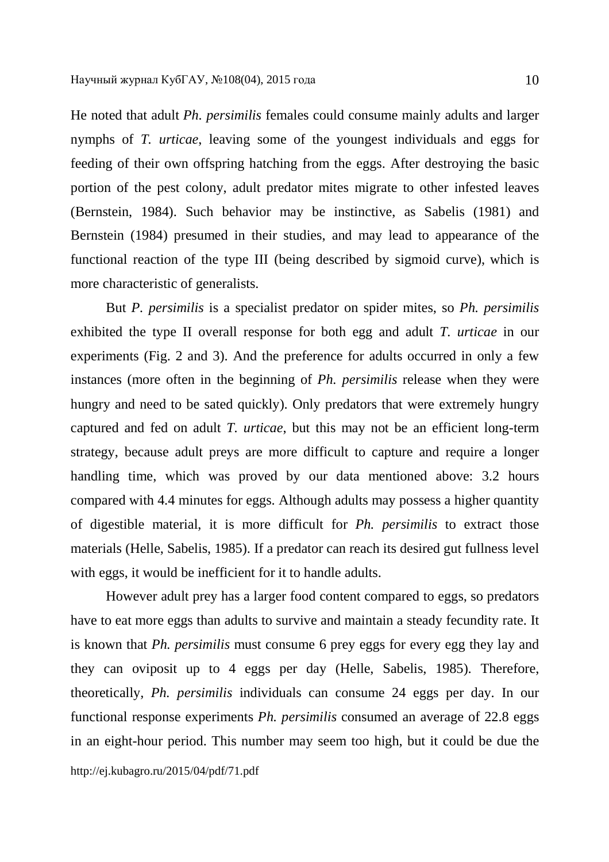He noted that adult *Ph. persimilis* females could consume mainly adults and larger nymphs of *T. urticae*, leaving some of the youngest individuals and eggs for feeding of their own offspring hatching from the eggs. After destroying the basic portion of the pest colony, adult predator mites migrate to other infested leaves (Bernstein, 1984). Such behavior may be instinctive, as Sabelis (1981) and Bernstein (1984) presumed in their studies, and may lead to appearance of the functional reaction of the type III (being described by sigmoid curve), which is more characteristic of generalists.

But *P. persimilis* is a specialist predator on spider mites, so *Ph. persimilis*  exhibited the type II overall response for both egg and adult *T. urticae* in our experiments (Fig. 2 and 3). And the preference for adults occurred in only a few instances (more often in the beginning of *Ph. persimilis* release when they were hungry and need to be sated quickly). Only predators that were extremely hungry captured and fed on adult *T. urticae*, but this may not be an efficient long-term strategy, because adult preys are more difficult to capture and require a longer handling time, which was proved by our data mentioned above: 3.2 hours compared with 4.4 minutes for eggs. Although adults may possess a higher quantity of digestible material, it is more difficult for *Ph. persimilis* to extract those materials (Helle, Sabelis, 1985). If a predator can reach its desired gut fullness level with eggs, it would be inefficient for it to handle adults.

However adult prey has a larger food content compared to eggs, so predators have to eat more eggs than adults to survive and maintain a steady fecundity rate. It is known that *Ph. persimilis* must consume 6 prey eggs for every egg they lay and they can oviposit up to 4 eggs per day (Helle, Sabelis, 1985). Therefore, theoretically*, Ph. persimilis* individuals can consume 24 eggs per day. In our functional response experiments *Ph. persimilis* consumed an average of 22.8 eggs in an eight-hour period. This number may seem too high, but it could be due the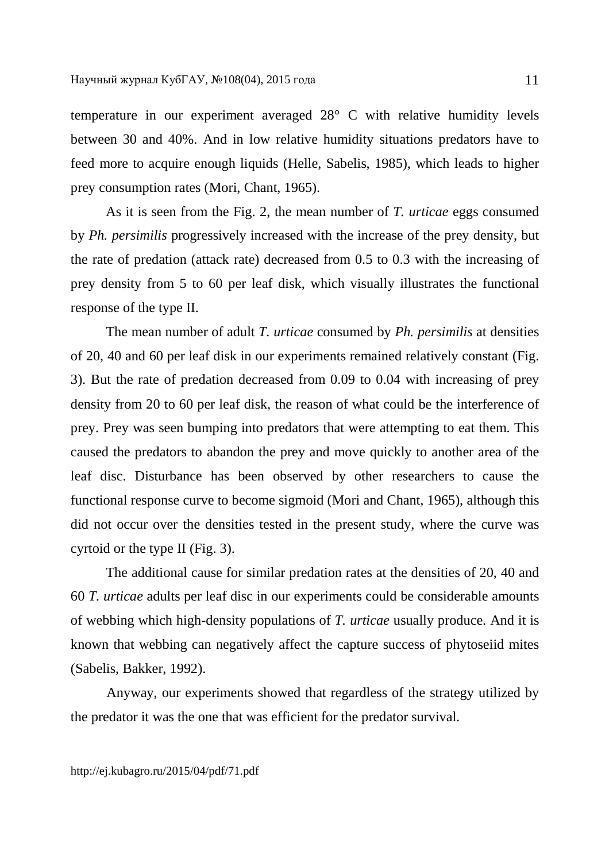temperature in our experiment averaged 28° C with relative humidity levels between 30 and 40%. And in low relative humidity situations predators have to feed more to acquire enough liquids (Helle, Sabelis, 1985), which leads to higher prey consumption rates (Mori, Chant, 1965).

As it is seen from the Fig. 2, the mean number of *T. urticae* eggs consumed by *Ph. persimilis* progressively increased with the increase of the prey density, but the rate of predation (attack rate) decreased from 0.5 to 0.3 with the increasing of prey density from 5 to 60 per leaf disk, which visually illustrates the functional response of the type II.

The mean number of adult *T. urticae* consumed by *Ph. persimilis* at densities of 20, 40 and 60 per leaf disk in our experiments remained relatively constant (Fig. 3). But the rate of predation decreased from 0.09 to 0.04 with increasing of prey density from 20 to 60 per leaf disk, the reason of what could be the interference of prey. Prey was seen bumping into predators that were attempting to eat them. This caused the predators to abandon the prey and move quickly to another area of the leaf disc. Disturbance has been observed by other researchers to cause the functional response curve to become sigmoid (Mori and Chant, 1965), although this did not occur over the densities tested in the present study, where the curve was cyrtoid or the type II (Fig. 3).

The additional cause for similar predation rates at the densities of 20, 40 and 60 *T. urticae* adults per leaf disc in our experiments could be considerable amounts of webbing which high-density populations of *T. urticae* usually produce. And it is known that webbing can negatively affect the capture success of phytoseiid mites (Sabelis, Bakker, 1992).

Anyway, our experiments showed that regardless of the strategy utilized by the predator it was the one that was efficient for the predator survival.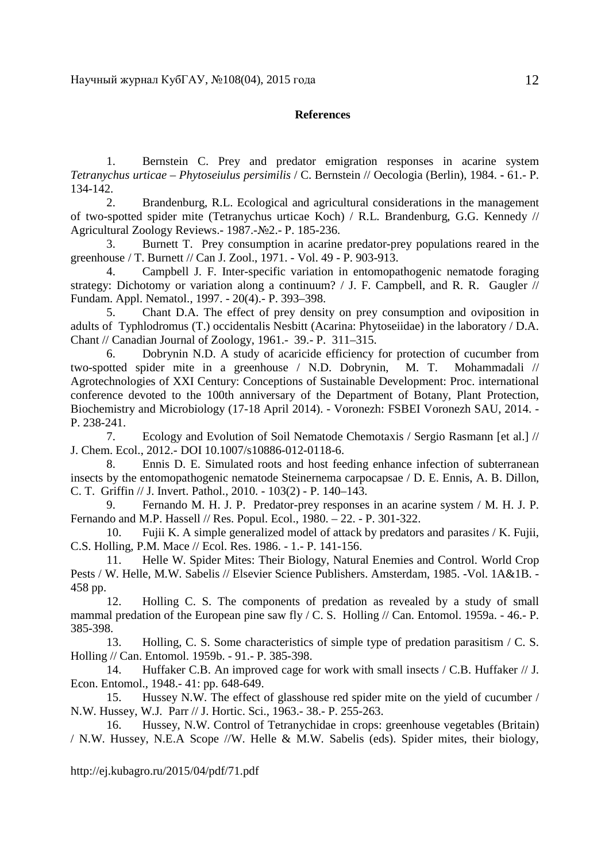#### **References**

1. Bernstein C. Prey and predator emigration responses in acarine system *Tetranychus urticae* – *Phytoseiulus persimilis* / C. Bernstein // Oecologia (Berlin), 1984. **-** 61.- Р. 134-142.

2. Brandenburg, R.L. Ecological and agricultural considerations in the management of two-spotted spider mite (Tetranychus urticae Koch) / R.L. Brandenburg, G.G. Kennedy // Agricultural Zoology Reviews.- 1987.-№2.- Р. 185-236.

3. Burnett T. Prey consumption in acarine predator-prey populations reared in the greenhouse / T. Burnett // Can J. Zool., 1971. - Vol. 49 - P. 903-913.

4. Campbell J. F. Inter-specific variation in entomopathogenic nematode foraging strategy: Dichotomy or variation along a continuum? / J. F. Campbell, and R. R. Gaugler // Fundam. Appl. Nematol., 1997. - 20(4).- P. 393–398.

5. Chant D.A. The effect of prey density on prey consumption and oviposition in adults of Typhlodromus (T.) occidentalis Nesbitt (Acarina: Phytoseiidae) in the laboratory / D.A. Chant // Canadian Journal of Zoology, 1961.- 39.- P. 311–315.

6. Dobrynin N.D. A study of acaricide efficiency for protection of cucumber from two-spotted spider mite in a greenhouse / N.D. Dobrynin, M. T. Mohammadali // Agrotechnologies of XXI Century: Conceptions of Sustainable Development: Proc. international conference devoted to the 100th anniversary of the Department of Botany, Plant Protection, Biochemistry and Microbiology (17-18 April 2014). - Voronezh: FSBEI Voronezh SAU, 2014. - P. 238-241.

7. Ecology and Evolution of Soil Nematode Chemotaxis / Sergio Rasmann [et al.] // J. Chem. Ecol., 2012.- DOI 10.1007/s10886-012-0118-6.

8. Ennis D. E. Simulated roots and host feeding enhance infection of subterranean insects by the entomopathogenic nematode Steinernema carpocapsae / D. E. Ennis, A. B. Dillon, C. T. Griffin // J. Invert. Pathol., 2010. - 103(2) - P. 140–143.

9. Fernando M. H. J. P. Predator-prey responses in an acarine system / M. H. J. P. Fernando and M.P. Hassell // Res. Popul. Ecol., 1980. – 22. - P. 301-322.

10. Fujii K. A simple generalized model of attack by predators and parasites / K. Fujii, C.S. Holling, P.M. Mace // Ecol. Res. 1986. - 1.- P. 141-156.

11. Helle W. Spider Mites: Their Biology, Natural Enemies and Control. World Crop Pests / W. Helle, M.W. Sabelis // Elsevier Science Publishers. Amsterdam, 1985. -Vol. 1A&1B. - 458 pp.

12. Holling C. S. The components of predation as revealed by a study of small mammal predation of the European pine saw fly  $\angle C$ . S. Holling  $\angle$  Can. Entomol. 1959a. - 46.- P. 385-398.

13. Holling, C. S. Some characteristics of simple type of predation parasitism / C. S. Holling // Can. Entomol. 1959b. - 91.- P. 385-398.

14. Huffaker C.B. An improved cage for work with small insects / C.B. Huffaker // J. Econ. Entomol., 1948.- 41: pp. 648-649.

15. Hussey N.W. The effect of glasshouse red spider mite on the yield of cucumber / N.W. Hussey, W.J. Parr // J. Hortic. Sci., 1963.- 38.- P. 255-263.

16. Hussey, N.W. Control of Tetranychidae in crops: greenhouse vegetables (Britain) / N.W. Hussey, N.E.A Scope //W. Helle & M.W. Sabelis (eds). Spider mites, their biology,

http://ej.kubagro.ru/2015/04/pdf/71.pdf